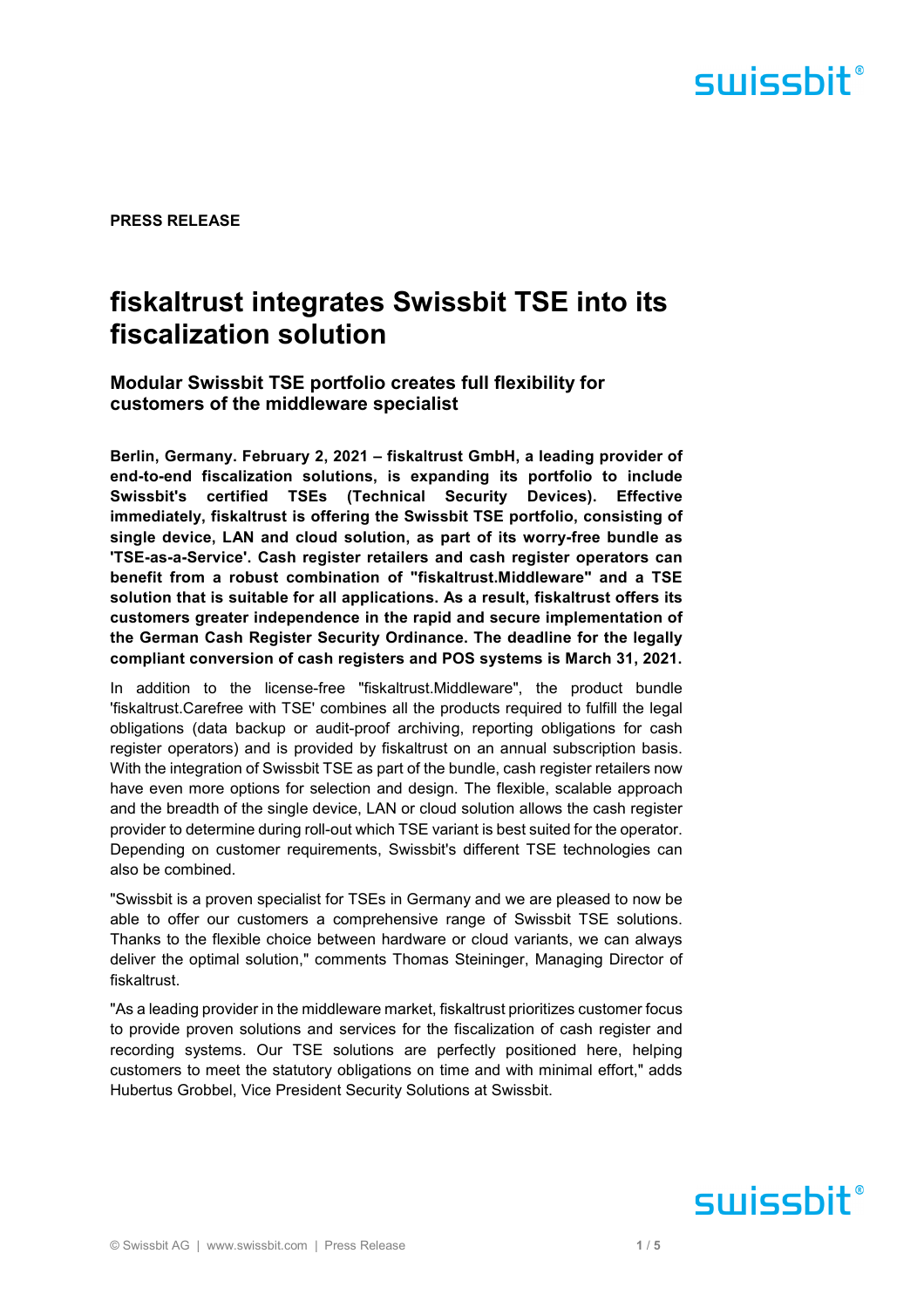

**PRESS RELEASE** 

### **fiskaltrust integrates Swissbit TSE into its fiscalization solution**

**Modular Swissbit TSE portfolio creates full flexibility for customers of the middleware specialist** 

**Berlin, Germany. February 2, 2021 – fiskaltrust GmbH, a leading provider of end-to-end fiscalization solutions, is expanding its portfolio to include Swissbit's certified TSEs (Technical Security Devices). Effective immediately, fiskaltrust is offering the Swissbit TSE portfolio, consisting of single device, LAN and cloud solution, as part of its worry-free bundle as 'TSE-as-a-Service'. Cash register retailers and cash register operators can benefit from a robust combination of "fiskaltrust.Middleware" and a TSE solution that is suitable for all applications. As a result, fiskaltrust offers its customers greater independence in the rapid and secure implementation of the German Cash Register Security Ordinance. The deadline for the legally compliant conversion of cash registers and POS systems is March 31, 2021.** 

In addition to the license-free "fiskaltrust.Middleware", the product bundle 'fiskaltrust.Carefree with TSE' combines all the products required to fulfill the legal obligations (data backup or audit-proof archiving, reporting obligations for cash register operators) and is provided by fiskaltrust on an annual subscription basis. With the integration of Swissbit TSE as part of the bundle, cash register retailers now have even more options for selection and design. The flexible, scalable approach and the breadth of the single device, LAN or cloud solution allows the cash register provider to determine during roll-out which TSE variant is best suited for the operator. Depending on customer requirements, Swissbit's different TSE technologies can also be combined.

"Swissbit is a proven specialist for TSEs in Germany and we are pleased to now be able to offer our customers a comprehensive range of Swissbit TSE solutions. Thanks to the flexible choice between hardware or cloud variants, we can always deliver the optimal solution," comments Thomas Steininger, Managing Director of fiskaltrust.

"As a leading provider in the middleware market, fiskaltrust prioritizes customer focus to provide proven solutions and services for the fiscalization of cash register and recording systems. Our TSE solutions are perfectly positioned here, helping customers to meet the statutory obligations on time and with minimal effort," adds Hubertus Grobbel, Vice President Security Solutions at Swissbit.

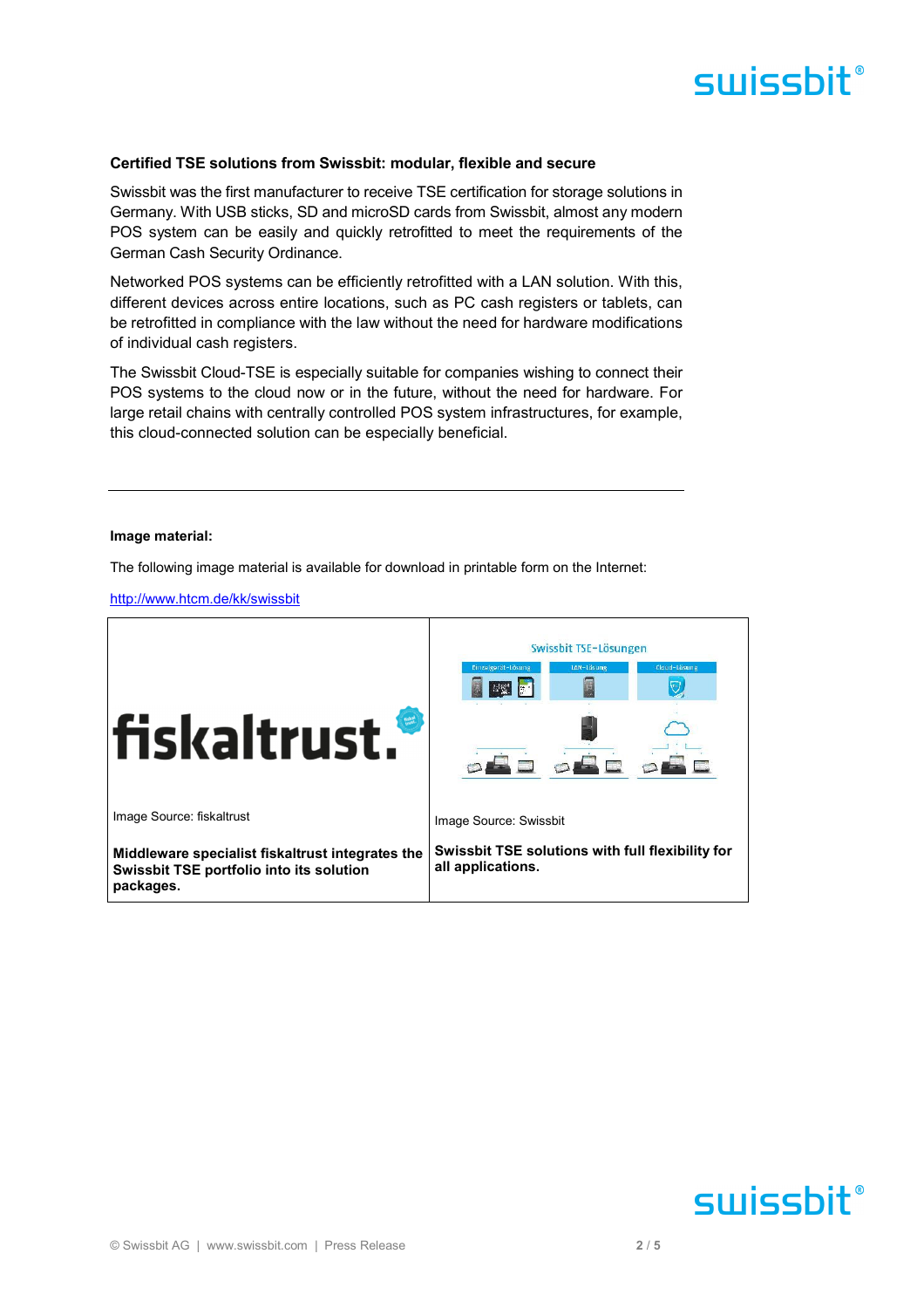#### **Certified TSE solutions from Swissbit: modular, flexible and secure**

Swissbit was the first manufacturer to receive TSE certification for storage solutions in Germany. With USB sticks, SD and microSD cards from Swissbit, almost any modern POS system can be easily and quickly retrofitted to meet the requirements of the German Cash Security Ordinance.

Networked POS systems can be efficiently retrofitted with a LAN solution. With this, different devices across entire locations, such as PC cash registers or tablets, can be retrofitted in compliance with the law without the need for hardware modifications of individual cash registers.

The Swissbit Cloud-TSE is especially suitable for companies wishing to connect their POS systems to the cloud now or in the future, without the need for hardware. For large retail chains with centrally controlled POS system infrastructures, for example, this cloud-connected solution can be especially beneficial.

#### **Image material:**

The following image material is available for download in printable form on the Internet:

http://www.htcm.de/kk/swissbit



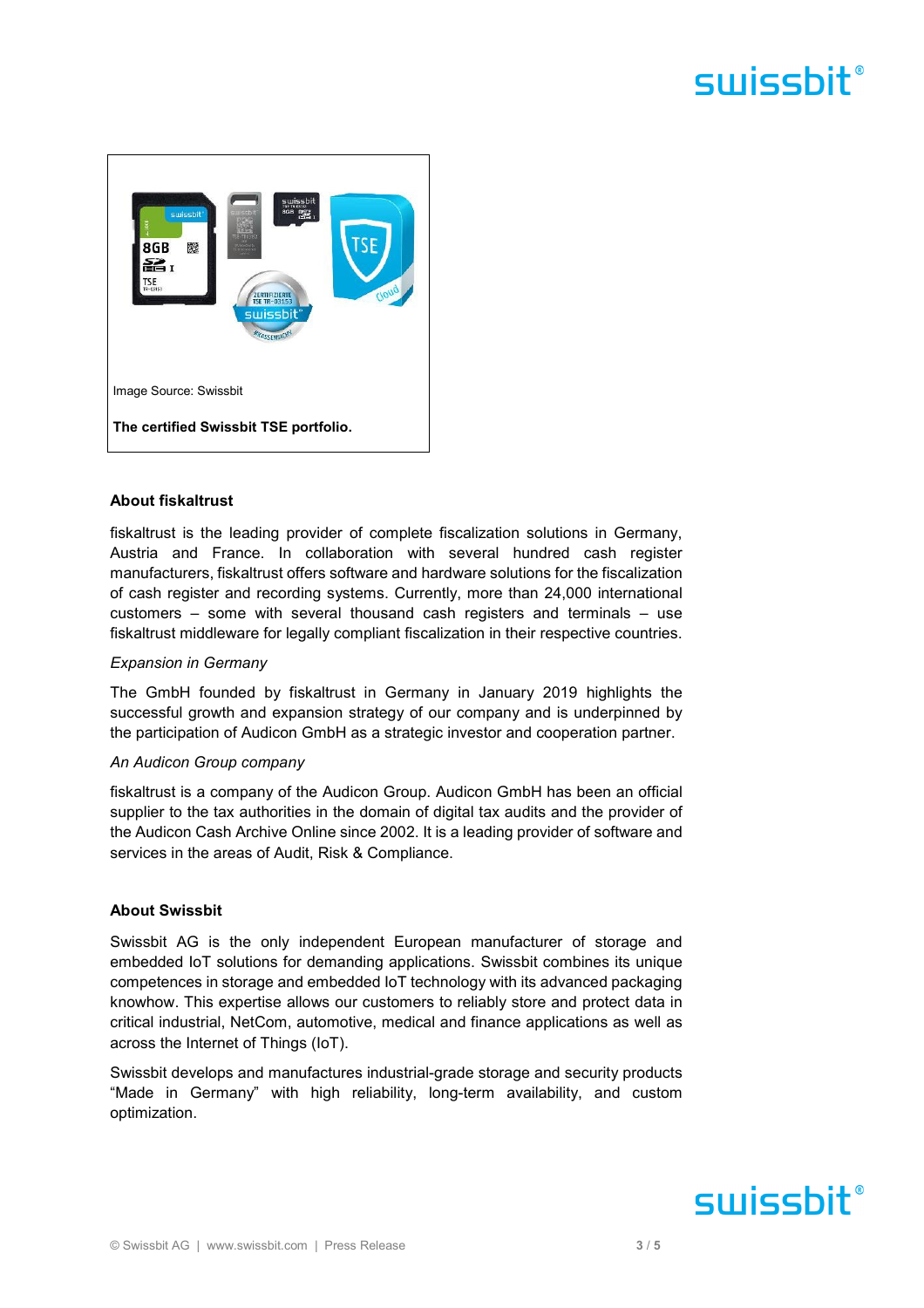

### **About fiskaltrust**

fiskaltrust is the leading provider of complete fiscalization solutions in Germany, Austria and France. In collaboration with several hundred cash register manufacturers, fiskaltrust offers software and hardware solutions for the fiscalization of cash register and recording systems. Currently, more than 24,000 international customers – some with several thousand cash registers and terminals – use fiskaltrust middleware for legally compliant fiscalization in their respective countries.

### *Expansion in Germany*

The GmbH founded by fiskaltrust in Germany in January 2019 highlights the successful growth and expansion strategy of our company and is underpinned by the participation of Audicon GmbH as a strategic investor and cooperation partner.

### *An Audicon Group company*

fiskaltrust is a company of the Audicon Group. Audicon GmbH has been an official supplier to the tax authorities in the domain of digital tax audits and the provider of the Audicon Cash Archive Online since 2002. It is a leading provider of software and services in the areas of Audit, Risk & Compliance.

### **About Swissbit**

Swissbit AG is the only independent European manufacturer of storage and embedded IoT solutions for demanding applications. Swissbit combines its unique competences in storage and embedded IoT technology with its advanced packaging knowhow. This expertise allows our customers to reliably store and protect data in critical industrial, NetCom, automotive, medical and finance applications as well as across the Internet of Things (IoT).

Swissbit develops and manufactures industrial-grade storage and security products "Made in Germany" with high reliability, long-term availability, and custom optimization.

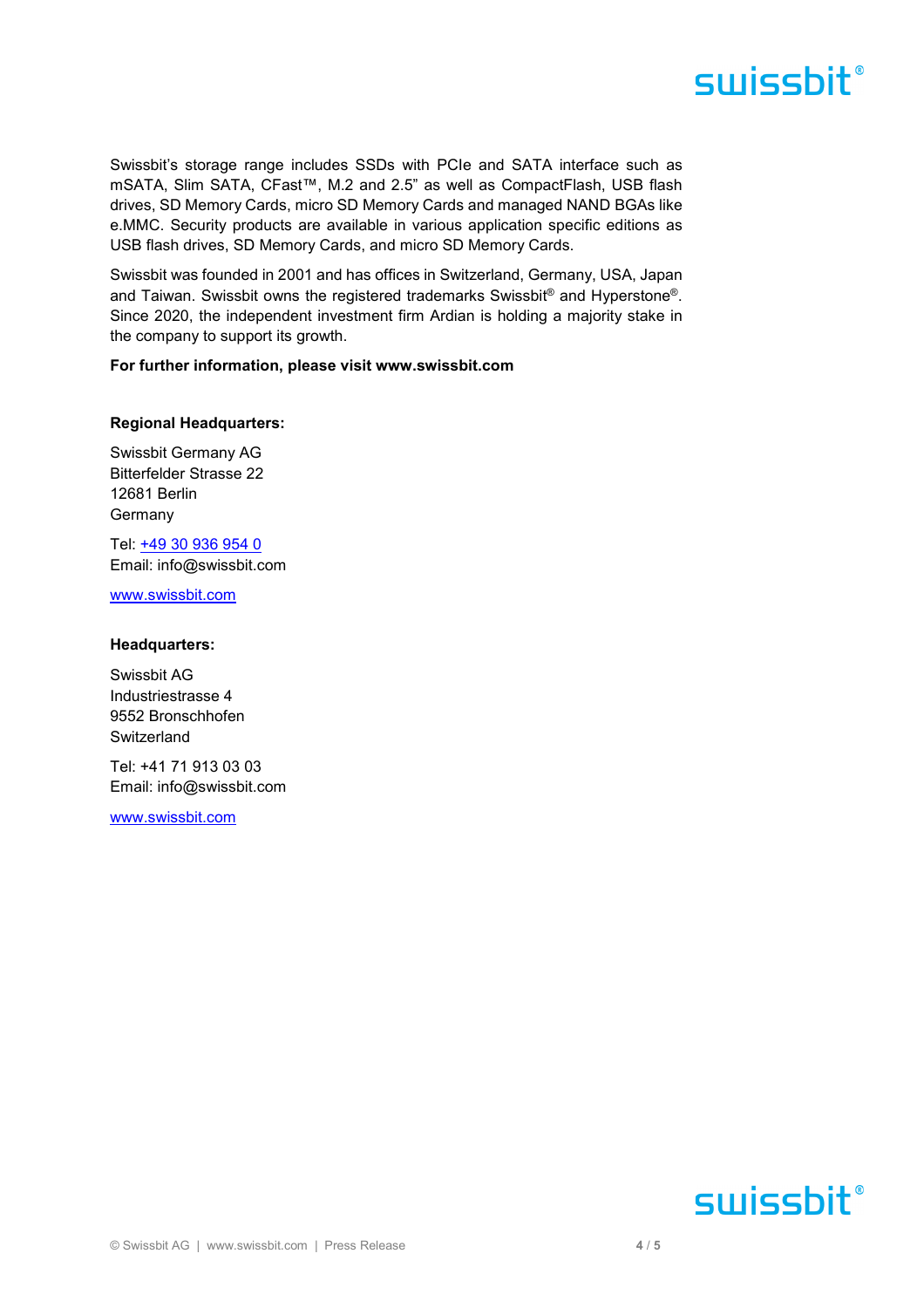Swissbit's storage range includes SSDs with PCIe and SATA interface such as mSATA, Slim SATA, CFast™, M.2 and 2.5" as well as CompactFlash, USB flash drives, SD Memory Cards, micro SD Memory Cards and managed NAND BGAs like e.MMC. Security products are available in various application specific editions as USB flash drives, SD Memory Cards, and micro SD Memory Cards.

Swissbit was founded in 2001 and has offices in Switzerland, Germany, USA, Japan and Taiwan. Swissbit owns the registered trademarks Swissbit® and Hyperstone®. Since 2020, the independent investment firm Ardian is holding a majority stake in the company to support its growth.

#### **For further information, please visit www.swissbit.com**

#### **Regional Headquarters:**

Swissbit Germany AG Bitterfelder Strasse 22 12681 Berlin Germany

Tel: +49 30 936 954 0 Email: info@swissbit.com

www.swissbit.com

#### **Headquarters:**

Swissbit AG Industriestrasse 4 9552 Bronschhofen **Switzerland** 

Tel: +41 71 913 03 03 Email: info@swissbit.com

www.swissbit.com